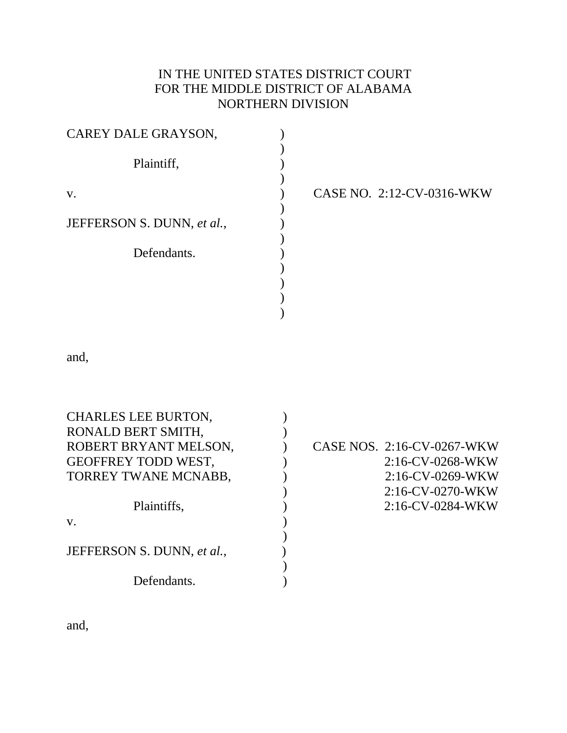# IN THE UNITED STATES DISTRICT COURT FOR THE MIDDLE DISTRICT OF ALABAMA NORTHERN DIVISION

) ) ) ) ) ) ) ) ) ) ) )  $\overline{)}$ 

| CAREY DALE GRAYSON,        |  |  |
|----------------------------|--|--|
| Plaintiff,                 |  |  |
| V.                         |  |  |
| JEFFERSON S. DUNN, et al., |  |  |
| Defendants.                |  |  |
|                            |  |  |
|                            |  |  |

CASE NO. 2:12-CV-0316-WKW

and,

| <b>CHARLES LEE BURTON,</b> |                            |
|----------------------------|----------------------------|
| RONALD BERT SMITH,         |                            |
| ROBERT BRYANT MELSON,      | CASE NOS. 2:16-CV-0267-WKW |
| <b>GEOFFREY TODD WEST,</b> | $2:16$ -CV-0268-WKW        |
| TORREY TWANE MCNABB,       | $2:16$ -CV-0269-WKW        |
|                            | $2:16$ -CV-0270-WKW        |
| Plaintiffs,                | $2:16$ -CV-0284-WKW        |
| V.                         |                            |
|                            |                            |
| JEFFERSON S. DUNN, et al., |                            |
|                            |                            |
| Defendants.                |                            |

and,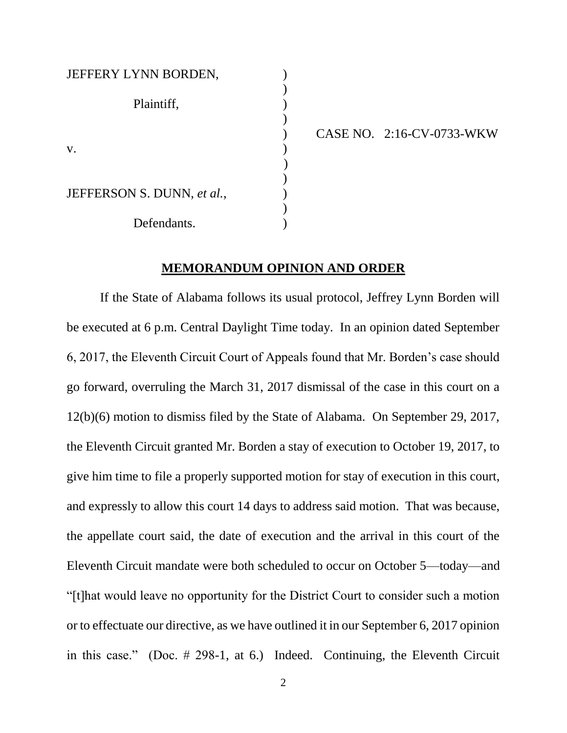# JEFFERY LYNN BORDEN, Plaintiff, (1)  $\mathbf v.$  )  $)$ JEFFERSON S. DUNN, *et al.*,  $\qquad \qquad$ ) Defendants.

) CASE NO. 2:16-CV-0733-WKW

#### **MEMORANDUM OPINION AND ORDER**

)

)

)

)

If the State of Alabama follows its usual protocol, Jeffrey Lynn Borden will be executed at 6 p.m. Central Daylight Time today. In an opinion dated September 6, 2017, the Eleventh Circuit Court of Appeals found that Mr. Borden's case should go forward, overruling the March 31, 2017 dismissal of the case in this court on a 12(b)(6) motion to dismiss filed by the State of Alabama. On September 29, 2017, the Eleventh Circuit granted Mr. Borden a stay of execution to October 19, 2017, to give him time to file a properly supported motion for stay of execution in this court, and expressly to allow this court 14 days to address said motion. That was because, the appellate court said, the date of execution and the arrival in this court of the Eleventh Circuit mandate were both scheduled to occur on October 5—today—and "[t]hat would leave no opportunity for the District Court to consider such a motion or to effectuate our directive, as we have outlined it in our September 6, 2017 opinion in this case." (Doc. # 298-1, at 6.) Indeed. Continuing, the Eleventh Circuit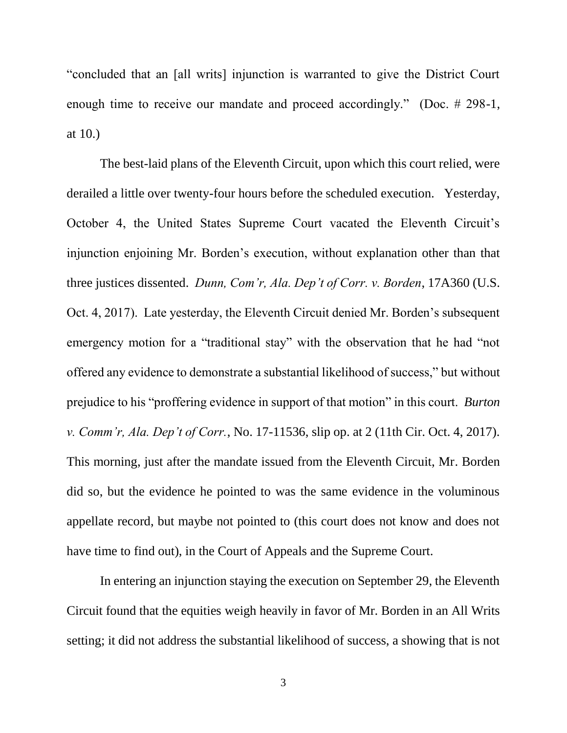"concluded that an [all writs] injunction is warranted to give the District Court enough time to receive our mandate and proceed accordingly." (Doc. # 298-1, at 10.)

The best-laid plans of the Eleventh Circuit, upon which this court relied, were derailed a little over twenty-four hours before the scheduled execution. Yesterday, October 4, the United States Supreme Court vacated the Eleventh Circuit's injunction enjoining Mr. Borden's execution, without explanation other than that three justices dissented. *Dunn, Com'r, Ala. Dep't of Corr. v. Borden*, 17A360 (U.S. Oct. 4, 2017). Late yesterday, the Eleventh Circuit denied Mr. Borden's subsequent emergency motion for a "traditional stay" with the observation that he had "not offered any evidence to demonstrate a substantial likelihood of success," but without prejudice to his "proffering evidence in support of that motion" in this court. *Burton v. Comm'r, Ala. Dep't of Corr.*, No. 17-11536, slip op. at 2 (11th Cir. Oct. 4, 2017). This morning, just after the mandate issued from the Eleventh Circuit, Mr. Borden did so, but the evidence he pointed to was the same evidence in the voluminous appellate record, but maybe not pointed to (this court does not know and does not have time to find out), in the Court of Appeals and the Supreme Court.

In entering an injunction staying the execution on September 29, the Eleventh Circuit found that the equities weigh heavily in favor of Mr. Borden in an All Writs setting; it did not address the substantial likelihood of success, a showing that is not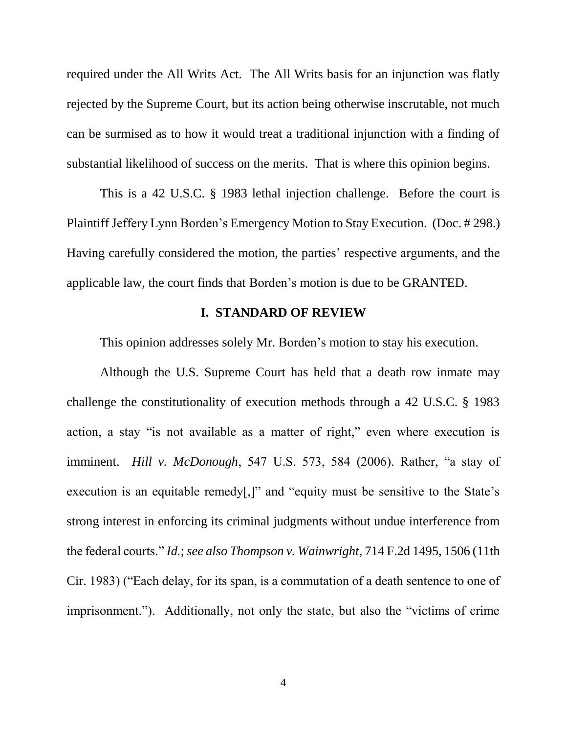required under the All Writs Act. The All Writs basis for an injunction was flatly rejected by the Supreme Court, but its action being otherwise inscrutable, not much can be surmised as to how it would treat a traditional injunction with a finding of substantial likelihood of success on the merits. That is where this opinion begins.

This is a 42 U.S.C. § 1983 lethal injection challenge. Before the court is Plaintiff Jeffery Lynn Borden's Emergency Motion to Stay Execution. (Doc. # 298.) Having carefully considered the motion, the parties' respective arguments, and the applicable law, the court finds that Borden's motion is due to be GRANTED.

## **I. STANDARD OF REVIEW**

This opinion addresses solely Mr. Borden's motion to stay his execution.

Although the U.S. Supreme Court has held that a death row inmate may challenge the constitutionality of execution methods through a 42 U.S.C. § 1983 action, a stay "is not available as a matter of right," even where execution is imminent. *Hill v. McDonough*, 547 U.S. 573, 584 (2006). Rather, "a stay of execution is an equitable remedy[,]" and "equity must be sensitive to the State's strong interest in enforcing its criminal judgments without undue interference from the federal courts." *Id.*; *see also Thompson v. Wainwright*, 714 F.2d 1495, 1506 (11th Cir. 1983) ("Each delay, for its span, is a commutation of a death sentence to one of imprisonment."). Additionally, not only the state, but also the "victims of crime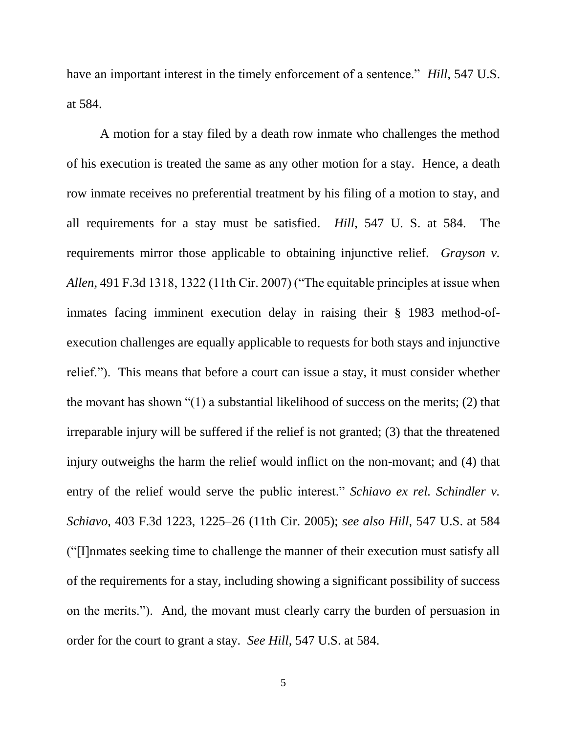have an important interest in the timely enforcement of a sentence." *Hill*, 547 U.S. at 584.

A motion for a stay filed by a death row inmate who challenges the method of his execution is treated the same as any other motion for a stay. Hence, a death row inmate receives no preferential treatment by his filing of a motion to stay, and all requirements for a stay must be satisfied. *Hill*, 547 U. S. at 584. The requirements mirror those applicable to obtaining injunctive relief. *Grayson v. Allen*, 491 F.3d 1318, 1322 (11th Cir. 2007) ("The equitable principles at issue when inmates facing imminent execution delay in raising their § 1983 method-ofexecution challenges are equally applicable to requests for both stays and injunctive relief."). This means that before a court can issue a stay, it must consider whether the movant has shown "(1) a substantial likelihood of success on the merits; (2) that irreparable injury will be suffered if the relief is not granted; (3) that the threatened injury outweighs the harm the relief would inflict on the non-movant; and (4) that entry of the relief would serve the public interest." *Schiavo ex rel. Schindler v. Schiavo*, 403 F.3d 1223, 1225–26 (11th Cir. 2005); *see also Hill*, 547 U.S. at 584 ("[I]nmates seeking time to challenge the manner of their execution must satisfy all of the requirements for a stay, including showing a significant possibility of success on the merits."). And, the movant must clearly carry the burden of persuasion in order for the court to grant a stay. *See Hill*, 547 U.S. at 584.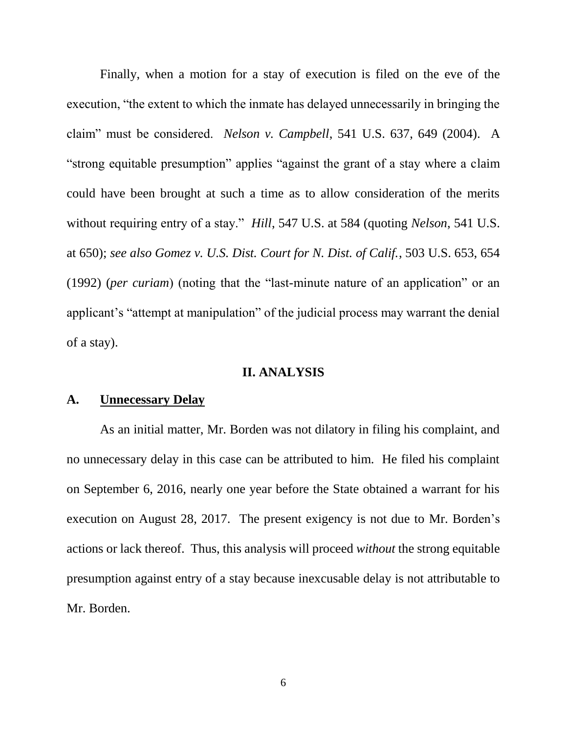Finally, when a motion for a stay of execution is filed on the eve of the execution, "the extent to which the inmate has delayed unnecessarily in bringing the claim" must be considered. *Nelson v. Campbell*, 541 U.S. 637, 649 (2004). A "strong equitable presumption" applies "against the grant of a stay where a claim could have been brought at such a time as to allow consideration of the merits without requiring entry of a stay." *Hill*, 547 U.S. at 584 (quoting *Nelson*, 541 U.S. at 650); *see also Gomez v. U.S. Dist. Court for N. Dist. of Calif.*, 503 U.S. 653, 654 (1992) (*per curiam*) (noting that the "last-minute nature of an application" or an applicant's "attempt at manipulation" of the judicial process may warrant the denial of a stay).

#### **II. ANALYSIS**

#### **A. Unnecessary Delay**

As an initial matter, Mr. Borden was not dilatory in filing his complaint, and no unnecessary delay in this case can be attributed to him. He filed his complaint on September 6, 2016, nearly one year before the State obtained a warrant for his execution on August 28, 2017. The present exigency is not due to Mr. Borden's actions or lack thereof. Thus, this analysis will proceed *without* the strong equitable presumption against entry of a stay because inexcusable delay is not attributable to Mr. Borden.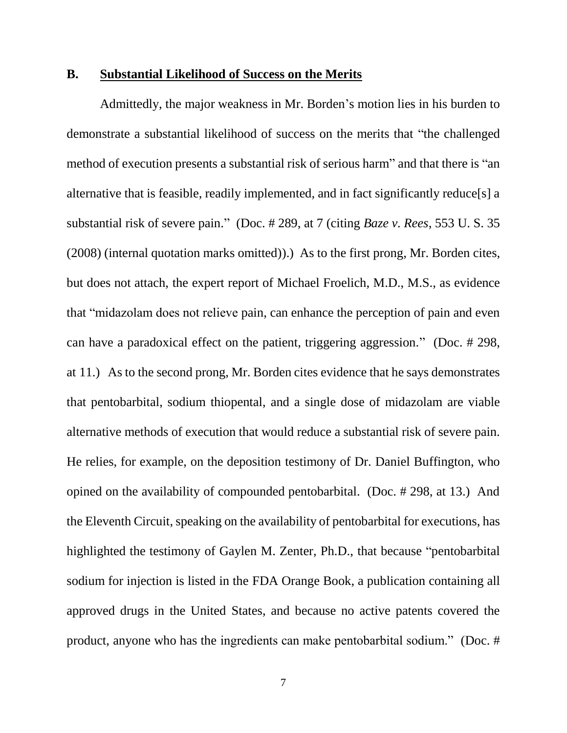### **B. Substantial Likelihood of Success on the Merits**

Admittedly, the major weakness in Mr. Borden's motion lies in his burden to demonstrate a substantial likelihood of success on the merits that "the challenged method of execution presents a substantial risk of serious harm" and that there is "an alternative that is feasible, readily implemented, and in fact significantly reduce[s] a substantial risk of severe pain." (Doc. # 289, at 7 (citing *Baze v. Rees*, 553 U. S. 35 (2008) (internal quotation marks omitted)).) As to the first prong, Mr. Borden cites, but does not attach, the expert report of Michael Froelich, M.D., M.S., as evidence that "midazolam does not relieve pain, can enhance the perception of pain and even can have a paradoxical effect on the patient, triggering aggression." (Doc. # 298, at 11.) As to the second prong, Mr. Borden cites evidence that he says demonstrates that pentobarbital, sodium thiopental, and a single dose of midazolam are viable alternative methods of execution that would reduce a substantial risk of severe pain. He relies, for example, on the deposition testimony of Dr. Daniel Buffington, who opined on the availability of compounded pentobarbital. (Doc. # 298, at 13.) And the Eleventh Circuit, speaking on the availability of pentobarbital for executions, has highlighted the testimony of Gaylen M. Zenter, Ph.D., that because "pentobarbital sodium for injection is listed in the FDA Orange Book, a publication containing all approved drugs in the United States, and because no active patents covered the product, anyone who has the ingredients can make pentobarbital sodium." (Doc. #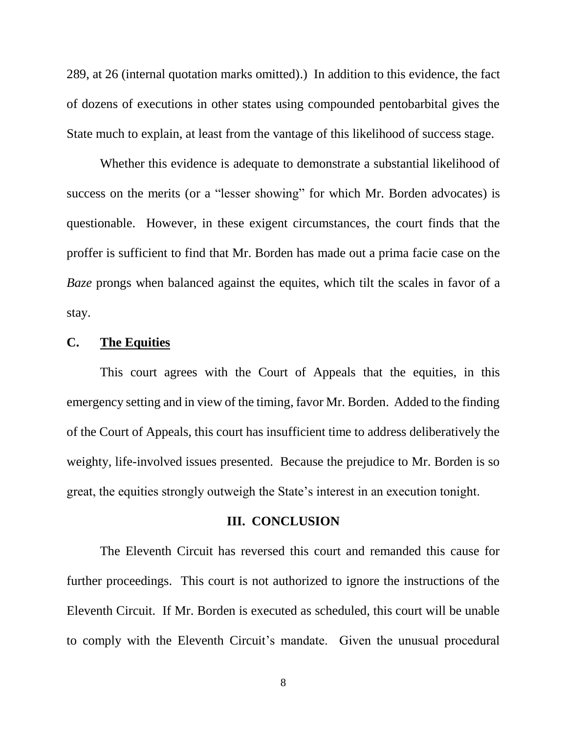289, at 26 (internal quotation marks omitted).) In addition to this evidence, the fact of dozens of executions in other states using compounded pentobarbital gives the State much to explain, at least from the vantage of this likelihood of success stage.

Whether this evidence is adequate to demonstrate a substantial likelihood of success on the merits (or a "lesser showing" for which Mr. Borden advocates) is questionable. However, in these exigent circumstances, the court finds that the proffer is sufficient to find that Mr. Borden has made out a prima facie case on the *Baze* prongs when balanced against the equites, which tilt the scales in favor of a stay.

## **C. The Equities**

This court agrees with the Court of Appeals that the equities, in this emergency setting and in view of the timing, favor Mr. Borden. Added to the finding of the Court of Appeals, this court has insufficient time to address deliberatively the weighty, life-involved issues presented. Because the prejudice to Mr. Borden is so great, the equities strongly outweigh the State's interest in an execution tonight.

#### **III. CONCLUSION**

The Eleventh Circuit has reversed this court and remanded this cause for further proceedings. This court is not authorized to ignore the instructions of the Eleventh Circuit. If Mr. Borden is executed as scheduled, this court will be unable to comply with the Eleventh Circuit's mandate. Given the unusual procedural

8